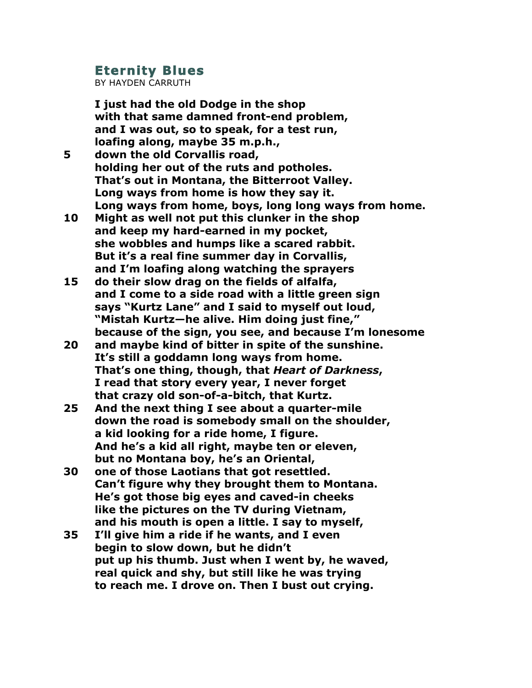## **Eternity Blues**

BY HAYDEN CARRUTH

**I just had the old Dodge in the shop with that same damned front-end problem, and I was out, so to speak, for a test run, loafing along, maybe 35 m.p.h.,**

- **5 down the old Corvallis road, holding her out of the ruts and potholes. That's out in Montana, the Bitterroot Valley. Long ways from home is how they say it. Long ways from home, boys, long long ways from home.**
- **10 Might as well not put this clunker in the shop and keep my hard-earned in my pocket, she wobbles and humps like a scared rabbit. But it's a real fine summer day in Corvallis, and I'm loafing along watching the sprayers**
- **15 do their slow drag on the fields of alfalfa, and I come to a side road with a little green sign says "Kurtz Lane" and I said to myself out loud, "Mistah Kurtz—he alive. Him doing just fine," because of the sign, you see, and because I'm lonesome**
- **20 and maybe kind of bitter in spite of the sunshine. It's still a goddamn long ways from home. That's one thing, though, that** *Heart of Darkness***, I read that story every year, I never forget that crazy old son-of-a-bitch, that Kurtz.**
- **25 And the next thing I see about a quarter-mile down the road is somebody small on the shoulder, a kid looking for a ride home, I figure. And he's a kid all right, maybe ten or eleven, but no Montana boy, he's an Oriental,**
- **30 one of those Laotians that got resettled. Can't figure why they brought them to Montana. He's got those big eyes and caved-in cheeks like the pictures on the TV during Vietnam, and his mouth is open a little. I say to myself,**
- **35 I'll give him a ride if he wants, and I even begin to slow down, but he didn't put up his thumb. Just when I went by, he waved, real quick and shy, but still like he was trying to reach me. I drove on. Then I bust out crying.**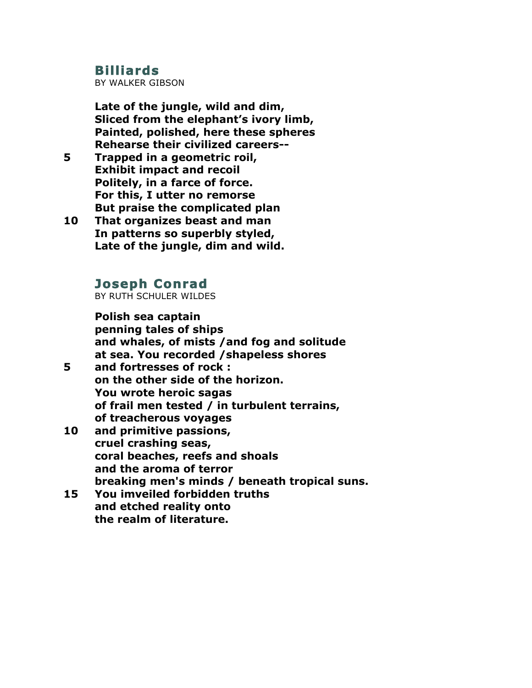## **Billiards**

BY WALKER GIBSON

**Late of the jungle, wild and dim, Sliced from the elephant's ivory limb, Painted, polished, here these spheres Rehearse their civilized careers--**

- **5 Trapped in a geometric roil, Exhibit impact and recoil Politely, in a farce of force. For this, I utter no remorse But praise the complicated plan**
- **10 That organizes beast and man In patterns so superbly styled, Late of the jungle, dim and wild.**

## **Joseph Conrad**

BY RUTH SCHULER WILDES

**Polish sea captain penning tales of ships and whales, of mists /and fog and solitude at sea. You recorded /shapeless shores**

- **5 and fortresses of rock : on the other side of the horizon. You wrote heroic sagas of frail men tested / in turbulent terrains, of treacherous voyages**
- **10 and primitive passions, cruel crashing seas, coral beaches, reefs and shoals and the aroma of terror breaking men's minds / beneath tropical suns.**
- **15 You imveiled forbidden truths and etched reality onto the realm of literature.**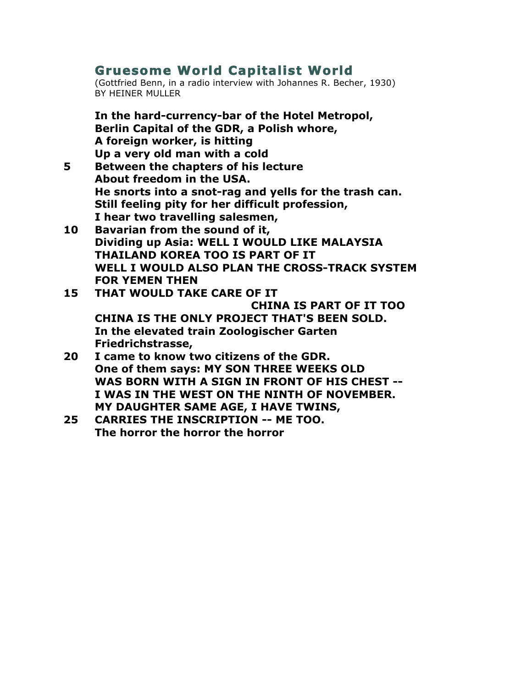## **Gruesome World Capitalist World**

(Gottfried Benn, in a radio interview with Johannes R. Becher, 1930) BY HEINER MULLER

**In the hard-currency-bar of the Hotel Metropol, Berlin Capital of the GDR, a Polish whore, A foreign worker, is hitting Up a very old man with a cold**

- **5 Between the chapters of his lecture About freedom in the USA. He snorts into a snot-rag and yells for the trash can. Still feeling pity for her difficult profession, I hear two travelling salesmen,**
- **10 Bavarian from the sound of it, Dividing up Asia: WELL I WOULD LIKE MALAYSIA THAILAND KOREA TOO IS PART OF IT WELL I WOULD ALSO PLAN THE CROSS-TRACK SYSTEM FOR YEMEN THEN**
- **15 THAT WOULD TAKE CARE OF IT CHINA IS PART OF IT TOO CHINA IS THE ONLY PROJECT THAT'S BEEN SOLD. In the elevated train Zoologischer Garten Friedrichstrasse,**
- **20 I came to know two citizens of the GDR. One of them says: MY SON THREE WEEKS OLD WAS BORN WITH A SIGN IN FRONT OF HIS CHEST -- I WAS IN THE WEST ON THE NINTH OF NOVEMBER. MY DAUGHTER SAME AGE, I HAVE TWINS,**
- **25 CARRIES THE INSCRIPTION -- ME TOO. The horror the horror the horror**